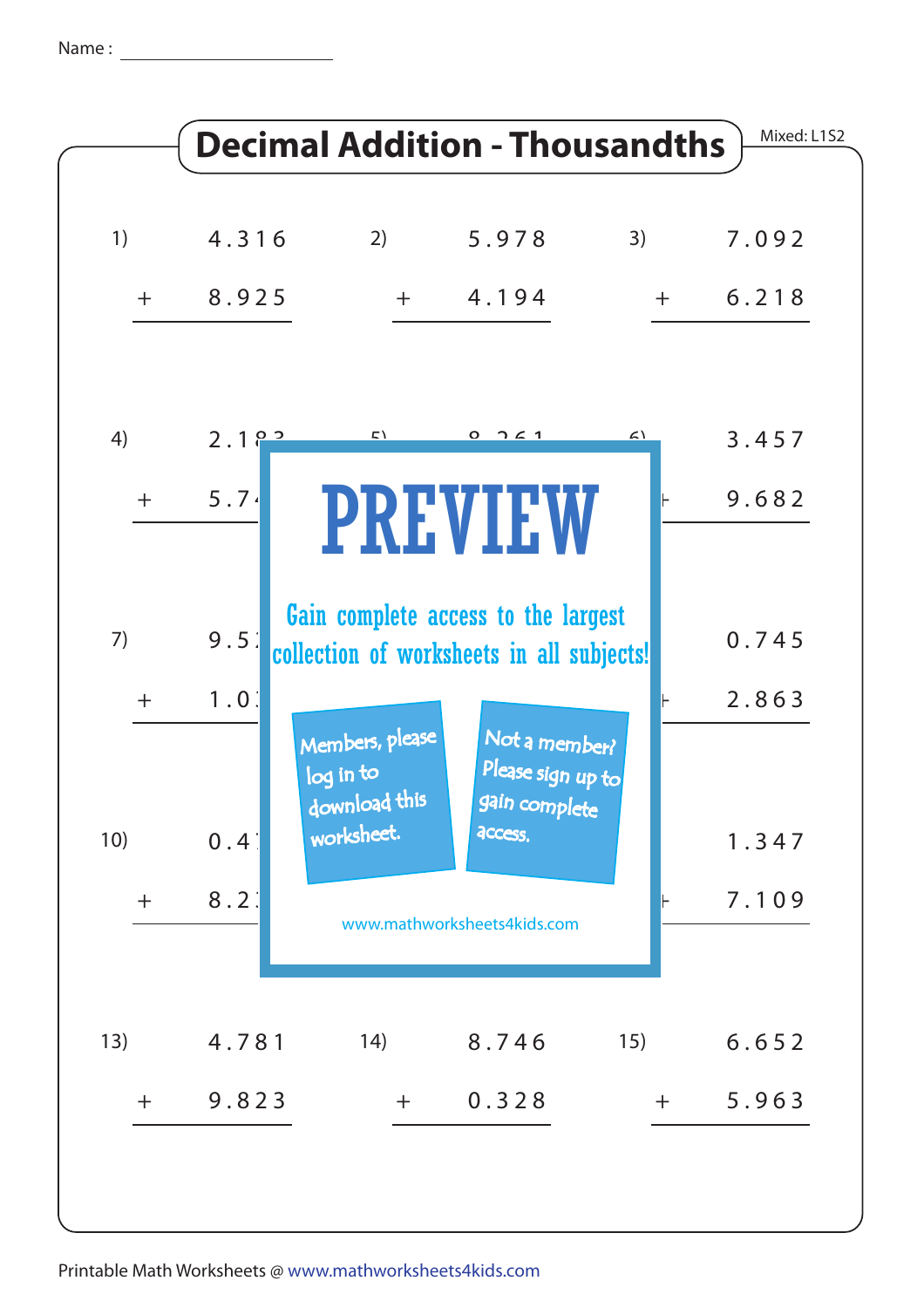Name :